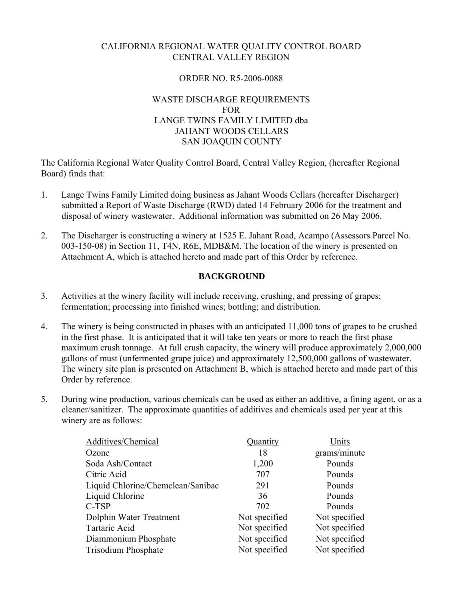# CALIFORNIA REGIONAL WATER QUALITY CONTROL BOARD CENTRAL VALLEY REGION

## ORDER NO. R5-2006-0088

# WASTE DISCHARGE REQUIREMENTS FOR LANGE TWINS FAMILY LIMITED dba JAHANT WOODS CELLARS SAN JOAQUIN COUNTY

The California Regional Water Quality Control Board, Central Valley Region, (hereafter Regional Board) finds that:

- 1. Lange Twins Family Limited doing business as Jahant Woods Cellars (hereafter Discharger) submitted a Report of Waste Discharge (RWD) dated 14 February 2006 for the treatment and disposal of winery wastewater. Additional information was submitted on 26 May 2006.
- 2. The Discharger is constructing a winery at 1525 E. Jahant Road, Acampo (Assessors Parcel No. 003-150-08) in Section 11, T4N, R6E, MDB&M. The location of the winery is presented on Attachment A, which is attached hereto and made part of this Order by reference.

# **BACKGROUND**

- 3. Activities at the winery facility will include receiving, crushing, and pressing of grapes; fermentation; processing into finished wines; bottling; and distribution.
- 4. The winery is being constructed in phases with an anticipated 11,000 tons of grapes to be crushed in the first phase. It is anticipated that it will take ten years or more to reach the first phase maximum crush tonnage. At full crush capacity, the winery will produce approximately 2,000,000 gallons of must (unfermented grape juice) and approximately 12,500,000 gallons of wastewater. The winery site plan is presented on Attachment B, which is attached hereto and made part of this Order by reference.
- 5. During wine production, various chemicals can be used as either an additive, a fining agent, or as a cleaner/sanitizer. The approximate quantities of additives and chemicals used per year at this winery are as follows:

| Additives/Chemical                | Quantity      | Units         |
|-----------------------------------|---------------|---------------|
| Ozone                             | 18            | grams/minute  |
| Soda Ash/Contact                  | 1,200         | Pounds        |
| Citric Acid                       | 707           | Pounds        |
| Liquid Chlorine/Chemclean/Sanibac | 291           | Pounds        |
| Liquid Chlorine                   | 36            | Pounds        |
| C-TSP                             | 702           | Pounds        |
| Dolphin Water Treatment           | Not specified | Not specified |
| Tartaric Acid                     | Not specified | Not specified |
| Diammonium Phosphate              | Not specified | Not specified |
| Trisodium Phosphate               | Not specified | Not specified |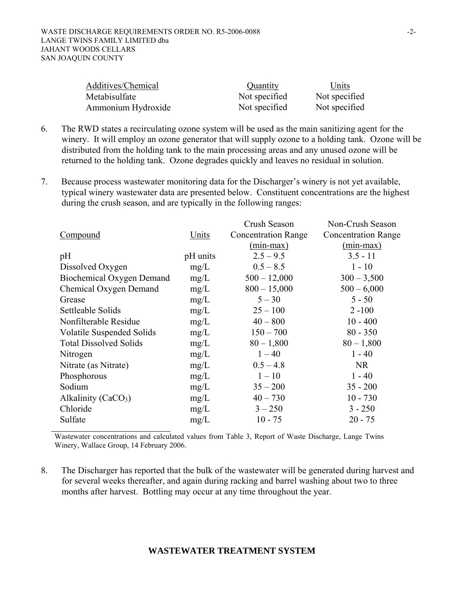| Additives/Chemical | Quantity      | Units         |
|--------------------|---------------|---------------|
| Metabisulfate      | Not specified | Not specified |
| Ammonium Hydroxide | Not specified | Not specified |

- 6. The RWD states a recirculating ozone system will be used as the main sanitizing agent for the winery. It will employ an ozone generator that will supply ozone to a holding tank. Ozone will be distributed from the holding tank to the main processing areas and any unused ozone will be returned to the holding tank. Ozone degrades quickly and leaves no residual in solution.
- 7. Because process wastewater monitoring data for the Discharger's winery is not yet available, typical winery wastewater data are presented below. Constituent concentrations are the highest during the crush season, and are typically in the following ranges:

|                                  |          | Crush Season               | Non-Crush Season           |
|----------------------------------|----------|----------------------------|----------------------------|
| Compound                         | Units    | <b>Concentration Range</b> | <b>Concentration Range</b> |
|                                  |          | $(min-max)$                | $(min-max)$                |
| pH                               | pH units | $2.5 - 9.5$                | $3.5 - 11$                 |
| Dissolved Oxygen                 | mg/L     | $0.5 - 8.5$                | $1 - 10$                   |
| Biochemical Oxygen Demand        | mg/L     | $500 - 12,000$             | $300 - 3,500$              |
| Chemical Oxygen Demand           | mg/L     | $800 - 15,000$             | $500 - 6,000$              |
| Grease                           | mg/L     | $5 - 30$                   | $5 - 50$                   |
| Settleable Solids                | mg/L     | $25 - 100$                 | $2 - 100$                  |
| Nonfilterable Residue            | mg/L     | $40 - 800$                 | $10 - 400$                 |
| <b>Volatile Suspended Solids</b> | mg/L     | $150 - 700$                | $80 - 350$                 |
| <b>Total Dissolved Solids</b>    | mg/L     | $80 - 1,800$               | $80 - 1,800$               |
| Nitrogen                         | mg/L     | $1 - 40$                   | $1 - 40$                   |
| Nitrate (as Nitrate)             | mg/L     | $0.5 - 4.8$                | <b>NR</b>                  |
| Phosphorous                      | mg/L     | $1 - 10$                   | $1 - 40$                   |
| Sodium                           | mg/L     | $35 - 200$                 | $35 - 200$                 |
| Alkalinity $(CaCO3)$             | mg/L     | $40 - 730$                 | $10 - 730$                 |
| Chloride                         | mg/L     | $3 - 250$                  | $3 - 250$                  |
| Sulfate                          | mg/L     | $10 - 75$                  | $20 - 75$                  |
|                                  |          |                            |                            |

Wastewater concentrations and calculated values from Table 3, Report of Waste Discharge, Lange Twins Winery, Wallace Group, 14 February 2006.

8. The Discharger has reported that the bulk of the wastewater will be generated during harvest and for several weeks thereafter, and again during racking and barrel washing about two to three months after harvest. Bottling may occur at any time throughout the year.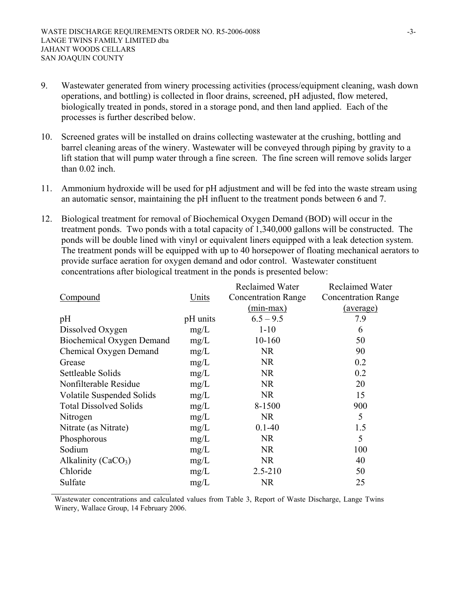- 9. Wastewater generated from winery processing activities (process/equipment cleaning, wash down operations, and bottling) is collected in floor drains, screened, pH adjusted, flow metered, biologically treated in ponds, stored in a storage pond, and then land applied. Each of the processes is further described below.
- 10. Screened grates will be installed on drains collecting wastewater at the crushing, bottling and barrel cleaning areas of the winery. Wastewater will be conveyed through piping by gravity to a lift station that will pump water through a fine screen. The fine screen will remove solids larger than  $0.02$  inch.
- 11. Ammonium hydroxide will be used for pH adjustment and will be fed into the waste stream using an automatic sensor, maintaining the pH influent to the treatment ponds between 6 and 7.
- 12. Biological treatment for removal of Biochemical Oxygen Demand (BOD) will occur in the treatment ponds. Two ponds with a total capacity of 1,340,000 gallons will be constructed. The ponds will be double lined with vinyl or equivalent liners equipped with a leak detection system. The treatment ponds will be equipped with up to 40 horsepower of floating mechanical aerators to provide surface aeration for oxygen demand and odor control. Wastewater constituent concentrations after biological treatment in the ponds is presented below:

|                                  |          | <b>Reclaimed Water</b>     | <b>Reclaimed Water</b>     |
|----------------------------------|----------|----------------------------|----------------------------|
| Compound                         | Units    | <b>Concentration Range</b> | <b>Concentration Range</b> |
|                                  |          | $(min-max)$                | (average)                  |
| pH                               | pH units | $6.5 - 9.5$                | 7.9                        |
| Dissolved Oxygen                 | mg/L     | $1 - 10$                   | 6                          |
| <b>Biochemical Oxygen Demand</b> | mg/L     | 10-160                     | 50                         |
| Chemical Oxygen Demand           | mg/L     | <b>NR</b>                  | 90                         |
| Grease                           | mg/L     | <b>NR</b>                  | 0.2                        |
| Settleable Solids                | mg/L     | <b>NR</b>                  | 0.2                        |
| Nonfilterable Residue            | mg/L     | <b>NR</b>                  | 20                         |
| <b>Volatile Suspended Solids</b> | mg/L     | <b>NR</b>                  | 15                         |
| <b>Total Dissolved Solids</b>    | mg/L     | 8-1500                     | 900                        |
| Nitrogen                         | mg/L     | <b>NR</b>                  | 5                          |
| Nitrate (as Nitrate)             | mg/L     | $0.1 - 40$                 | 1.5                        |
| Phosphorous                      | mg/L     | <b>NR</b>                  | 5                          |
| Sodium                           | mg/L     | <b>NR</b>                  | 100                        |
| Alkalinity ( $CaCO3$ )           | mg/L     | <b>NR</b>                  | 40                         |
| Chloride                         | mg/L     | $2.5 - 210$                | 50                         |
| Sulfate                          | mg/L     | <b>NR</b>                  | 25                         |

Wastewater concentrations and calculated values from Table 3, Report of Waste Discharge, Lange Twins Winery, Wallace Group, 14 February 2006.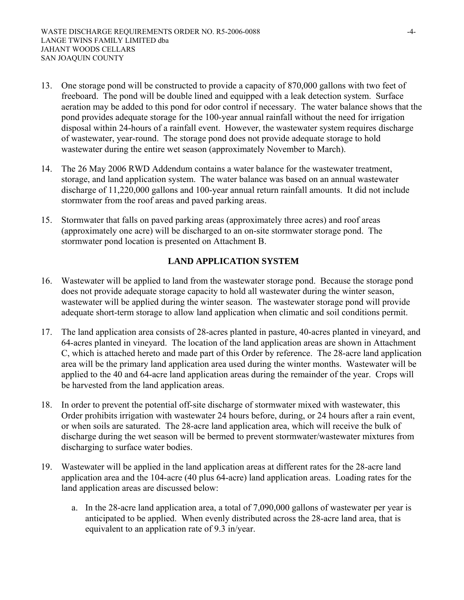- 13. One storage pond will be constructed to provide a capacity of 870,000 gallons with two feet of freeboard. The pond will be double lined and equipped with a leak detection system. Surface aeration may be added to this pond for odor control if necessary. The water balance shows that the pond provides adequate storage for the 100-year annual rainfall without the need for irrigation disposal within 24-hours of a rainfall event. However, the wastewater system requires discharge of wastewater, year-round. The storage pond does not provide adequate storage to hold wastewater during the entire wet season (approximately November to March).
- 14. The 26 May 2006 RWD Addendum contains a water balance for the wastewater treatment, storage, and land application system. The water balance was based on an annual wastewater discharge of 11,220,000 gallons and 100-year annual return rainfall amounts. It did not include stormwater from the roof areas and paved parking areas.
- 15. Stormwater that falls on paved parking areas (approximately three acres) and roof areas (approximately one acre) will be discharged to an on-site stormwater storage pond. The stormwater pond location is presented on Attachment B.

# **LAND APPLICATION SYSTEM**

- 16. Wastewater will be applied to land from the wastewater storage pond. Because the storage pond does not provide adequate storage capacity to hold all wastewater during the winter season, wastewater will be applied during the winter season. The wastewater storage pond will provide adequate short-term storage to allow land application when climatic and soil conditions permit.
- 17. The land application area consists of 28-acres planted in pasture, 40-acres planted in vineyard, and 64-acres planted in vineyard. The location of the land application areas are shown in Attachment C, which is attached hereto and made part of this Order by reference. The 28-acre land application area will be the primary land application area used during the winter months. Wastewater will be applied to the 40 and 64-acre land application areas during the remainder of the year. Crops will be harvested from the land application areas.
- 18. In order to prevent the potential off-site discharge of stormwater mixed with wastewater, this Order prohibits irrigation with wastewater 24 hours before, during, or 24 hours after a rain event, or when soils are saturated. The 28-acre land application area, which will receive the bulk of discharge during the wet season will be bermed to prevent stormwater/wastewater mixtures from discharging to surface water bodies.
- 19. Wastewater will be applied in the land application areas at different rates for the 28-acre land application area and the 104-acre (40 plus 64-acre) land application areas. Loading rates for the land application areas are discussed below:
	- a. In the 28-acre land application area, a total of 7,090,000 gallons of wastewater per year is anticipated to be applied. When evenly distributed across the 28-acre land area, that is equivalent to an application rate of 9.3 in/year.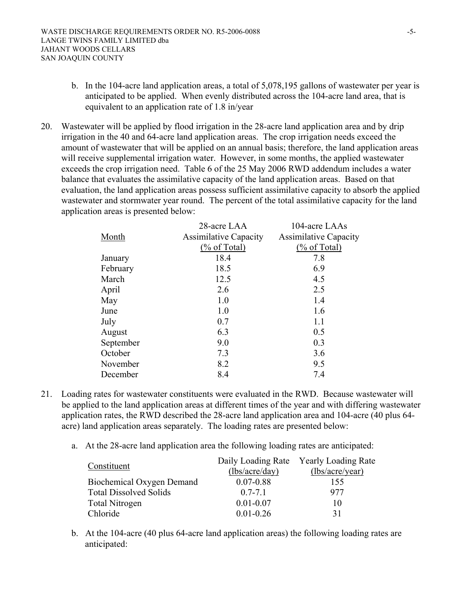- b. In the 104-acre land application areas, a total of 5,078,195 gallons of wastewater per year is anticipated to be applied. When evenly distributed across the 104-acre land area, that is equivalent to an application rate of 1.8 in/year
- 20. Wastewater will be applied by flood irrigation in the 28-acre land application area and by drip irrigation in the 40 and 64-acre land application areas. The crop irrigation needs exceed the amount of wastewater that will be applied on an annual basis; therefore, the land application areas will receive supplemental irrigation water. However, in some months, the applied wastewater exceeds the crop irrigation need. Table 6 of the 25 May 2006 RWD addendum includes a water balance that evaluates the assimilative capacity of the land application areas. Based on that evaluation, the land application areas possess sufficient assimilative capacity to absorb the applied wastewater and stormwater year round. The percent of the total assimilative capacity for the land application areas is presented below:

|           | 28-acre LAA                  | 104-acre LAAs                |
|-----------|------------------------------|------------------------------|
| Month     | <b>Assimilative Capacity</b> | <b>Assimilative Capacity</b> |
|           | $(\%$ of Total)              | $(\%$ of Total)              |
| January   | 18.4                         | 7.8                          |
| February  | 18.5                         | 6.9                          |
| March     | 12.5                         | 4.5                          |
| April     | 2.6                          | 2.5                          |
| May       | 1.0                          | 1.4                          |
| June      | 1.0                          | 1.6                          |
| July      | 0.7                          | 1.1                          |
| August    | 6.3                          | 0.5                          |
| September | 9.0                          | 0.3                          |
| October   | 7.3                          | 3.6                          |
| November  | 8.2                          | 9.5                          |
| December  | 8.4                          | 7.4                          |

- 21. Loading rates for wastewater constituents were evaluated in the RWD. Because wastewater will be applied to the land application areas at different times of the year and with differing wastewater application rates, the RWD described the 28-acre land application area and 104-acre (40 plus 64 acre) land application areas separately. The loading rates are presented below:
	- a. At the 28-acre land application area the following loading rates are anticipated:

| Constituent                   |                | Daily Loading Rate Yearly Loading Rate |
|-------------------------------|----------------|----------------------------------------|
|                               | (lbs/acre/day) | (lbs/acre/year)                        |
| Biochemical Oxygen Demand     | $0.07 - 0.88$  | 155                                    |
| <b>Total Dissolved Solids</b> | $07 - 71$      | 977                                    |
| <b>Total Nitrogen</b>         | $0.01 - 0.07$  | 10                                     |
| Chloride                      | $0.01 - 0.26$  | 31                                     |

b. At the 104-acre (40 plus 64-acre land application areas) the following loading rates are anticipated: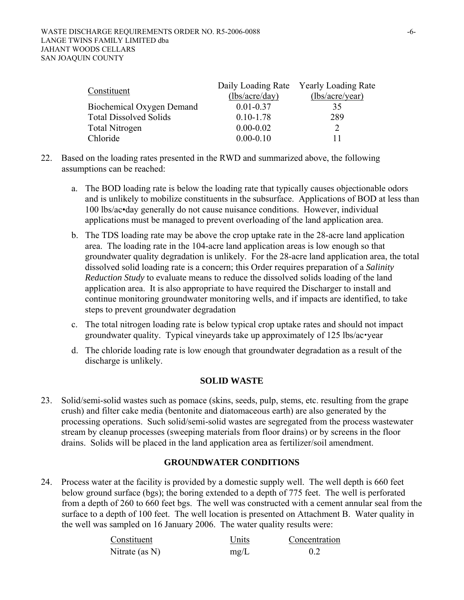| Constituent                   |                | Daily Loading Rate Yearly Loading Rate |
|-------------------------------|----------------|----------------------------------------|
|                               | (lbs/acre/day) | (lbs/acre/year)                        |
| Biochemical Oxygen Demand     | $0.01 - 0.37$  | 35                                     |
| <b>Total Dissolved Solids</b> | $0.10 - 1.78$  | 289                                    |
| Total Nitrogen                | $0.00 - 0.02$  |                                        |
| Chloride                      | $0.00 - 0.10$  | 11                                     |

- 22. Based on the loading rates presented in the RWD and summarized above, the following assumptions can be reached:
	- a. The BOD loading rate is below the loading rate that typically causes objectionable odors and is unlikely to mobilize constituents in the subsurface. Applications of BOD at less than 100 lbs/ac•day generally do not cause nuisance conditions. However, individual applications must be managed to prevent overloading of the land application area.
	- b. The TDS loading rate may be above the crop uptake rate in the 28-acre land application area. The loading rate in the 104-acre land application areas is low enough so that groundwater quality degradation is unlikely. For the 28-acre land application area, the total dissolved solid loading rate is a concern; this Order requires preparation of a *Salinity Reduction Study* to evaluate means to reduce the dissolved solids loading of the land application area. It is also appropriate to have required the Discharger to install and continue monitoring groundwater monitoring wells, and if impacts are identified, to take steps to prevent groundwater degradation
	- c. The total nitrogen loading rate is below typical crop uptake rates and should not impact groundwater quality. Typical vineyards take up approximately of  $125$  lbs/ac $\cdot$ year
	- d. The chloride loading rate is low enough that groundwater degradation as a result of the discharge is unlikely.

## **SOLID WASTE**

23. Solid/semi-solid wastes such as pomace (skins, seeds, pulp, stems, etc. resulting from the grape crush) and filter cake media (bentonite and diatomaceous earth) are also generated by the processing operations. Such solid/semi-solid wastes are segregated from the process wastewater stream by cleanup processes (sweeping materials from floor drains) or by screens in the floor drains. Solids will be placed in the land application area as fertilizer/soil amendment.

# **GROUNDWATER CONDITIONS**

24. Process water at the facility is provided by a domestic supply well. The well depth is 660 feet below ground surface (bgs); the boring extended to a depth of 775 feet. The well is perforated from a depth of 260 to 660 feet bgs. The well was constructed with a cement annular seal from the surface to a depth of 100 feet. The well location is presented on Attachment B. Water quality in the well was sampled on 16 January 2006. The water quality results were:

| Constituent       | Units | Concentration |
|-------------------|-------|---------------|
| Nitrate (as $N$ ) | mg/L  |               |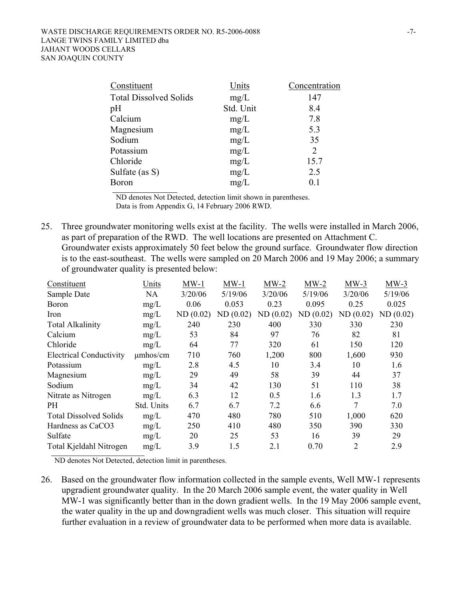| Constituent                   | Units     | Concentration  |
|-------------------------------|-----------|----------------|
| <b>Total Dissolved Solids</b> | mg/L      | 147            |
| pH                            | Std. Unit | 8.4            |
| Calcium                       | mg/L      | 7.8            |
| Magnesium                     | mg/L      | 5.3            |
| Sodium                        | mg/L      | 35             |
| Potassium                     | mg/L      | $\overline{2}$ |
| Chloride                      | mg/L      | 15.7           |
| Sulfate (as S)                | mg/L      | 2.5            |
| <b>Boron</b>                  | mg/L      | 0.1            |

 ND denotes Not Detected, detection limit shown in parentheses. Data is from Appendix G, 14 February 2006 RWD.

25. Three groundwater monitoring wells exist at the facility. The wells were installed in March 2006, as part of preparation of the RWD. The well locations are presented on Attachment C. Groundwater exists approximately 50 feet below the ground surface. Groundwater flow direction is to the east-southeast. The wells were sampled on 20 March 2006 and 19 May 2006; a summary of groundwater quality is presented below:

| Constituent                    | Units         | $MW-1$   | $MW-1$   | $MW-2$   | $MW-2$   | $MW-3$         | $MW-3$   |
|--------------------------------|---------------|----------|----------|----------|----------|----------------|----------|
| Sample Date                    | <b>NA</b>     | 3/20/06  | 5/19/06  | 3/20/06  | 5/19/06  | 3/20/06        | 5/19/06  |
| <b>Boron</b>                   | mg/L          | 0.06     | 0.053    | 0.23     | 0.095    | 0.25           | 0.025    |
| Iron                           | mg/L          | ND(0.02) | ND(0.02) | ND(0.02) | ND(0.02) | ND(0.02)       | ND(0.02) |
| <b>Total Alkalinity</b>        | mg/L          | 240      | 230      | 400      | 330      | 330            | 230      |
| Calcium                        | mg/L          | 53       | 84       | 97       | 76       | 82             | 81       |
| Chloride                       | mg/L          | 64       | 77       | 320      | 61       | 150            | 120      |
| <b>Electrical Conductivity</b> | $\mu$ mhos/cm | 710      | 760      | 1,200    | 800      | 1,600          | 930      |
| Potassium                      | mg/L          | 2.8      | 4.5      | 10       | 3.4      | 10             | 1.6      |
| Magnesium                      | mg/L          | 29       | 49       | 58       | 39       | 44             | 37       |
| Sodium                         | mg/L          | 34       | 42       | 130      | 51       | 110            | 38       |
| Nitrate as Nitrogen            | mg/L          | 6.3      | 12       | 0.5      | 1.6      | 1.3            | 1.7      |
| PH.                            | Std. Units    | 6.7      | 6.7      | 7.2      | 6.6      | 7              | 7.0      |
| <b>Total Dissolved Solids</b>  | mg/L          | 470      | 480      | 780      | 510      | 1,000          | 620      |
| Hardness as CaCO3              | mg/L          | 250      | 410      | 480      | 350      | 390            | 330      |
| Sulfate                        | mg/L          | 20       | 25       | 53       | 16       | 39             | 29       |
| Total Kjeldahl Nitrogen        | mg/L          | 3.9      | 1.5      | 2.1      | 0.70     | $\overline{2}$ | 2.9      |

ND denotes Not Detected, detection limit in parentheses.

26. Based on the groundwater flow information collected in the sample events, Well MW-1 represents upgradient groundwater quality. In the 20 March 2006 sample event, the water quality in Well MW-1 was significantly better than in the down gradient wells. In the 19 May 2006 sample event, the water quality in the up and downgradient wells was much closer. This situation will require further evaluation in a review of groundwater data to be performed when more data is available.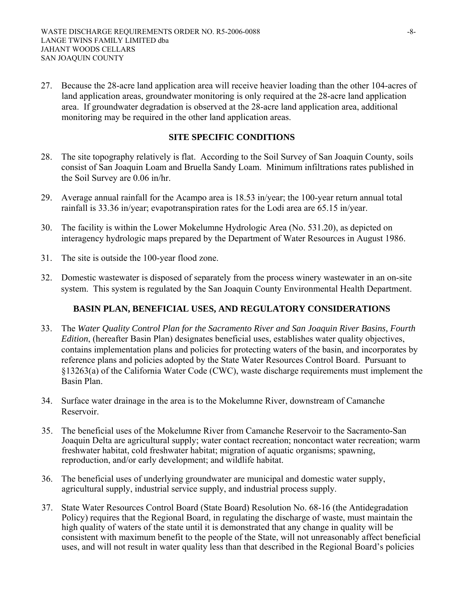27. Because the 28-acre land application area will receive heavier loading than the other 104-acres of land application areas, groundwater monitoring is only required at the 28-acre land application area. If groundwater degradation is observed at the 28-acre land application area, additional monitoring may be required in the other land application areas.

#### **SITE SPECIFIC CONDITIONS**

- 28. The site topography relatively is flat. According to the Soil Survey of San Joaquin County, soils consist of San Joaquin Loam and Bruella Sandy Loam. Minimum infiltrations rates published in the Soil Survey are 0.06 in/hr.
- 29. Average annual rainfall for the Acampo area is 18.53 in/year; the 100-year return annual total rainfall is 33.36 in/year; evapotranspiration rates for the Lodi area are 65.15 in/year.
- 30. The facility is within the Lower Mokelumne Hydrologic Area (No. 531.20), as depicted on interagency hydrologic maps prepared by the Department of Water Resources in August 1986.
- 31. The site is outside the 100-year flood zone.
- 32. Domestic wastewater is disposed of separately from the process winery wastewater in an on-site system. This system is regulated by the San Joaquin County Environmental Health Department.

## **BASIN PLAN, BENEFICIAL USES, AND REGULATORY CONSIDERATIONS**

- 33. The *Water Quality Control Plan for the Sacramento River and San Joaquin River Basins, Fourth Edition*, (hereafter Basin Plan) designates beneficial uses, establishes water quality objectives, contains implementation plans and policies for protecting waters of the basin, and incorporates by reference plans and policies adopted by the State Water Resources Control Board. Pursuant to §13263(a) of the California Water Code (CWC), waste discharge requirements must implement the Basin Plan.
- 34. Surface water drainage in the area is to the Mokelumne River, downstream of Camanche Reservoir.
- 35. The beneficial uses of the Mokelumne River from Camanche Reservoir to the Sacramento-San Joaquin Delta are agricultural supply; water contact recreation; noncontact water recreation; warm freshwater habitat, cold freshwater habitat; migration of aquatic organisms; spawning, reproduction, and/or early development; and wildlife habitat.
- 36. The beneficial uses of underlying groundwater are municipal and domestic water supply, agricultural supply, industrial service supply, and industrial process supply.
- 37. State Water Resources Control Board (State Board) Resolution No. 68-16 (the Antidegradation Policy) requires that the Regional Board, in regulating the discharge of waste, must maintain the high quality of waters of the state until it is demonstrated that any change in quality will be consistent with maximum benefit to the people of the State, will not unreasonably affect beneficial uses, and will not result in water quality less than that described in the Regional Board's policies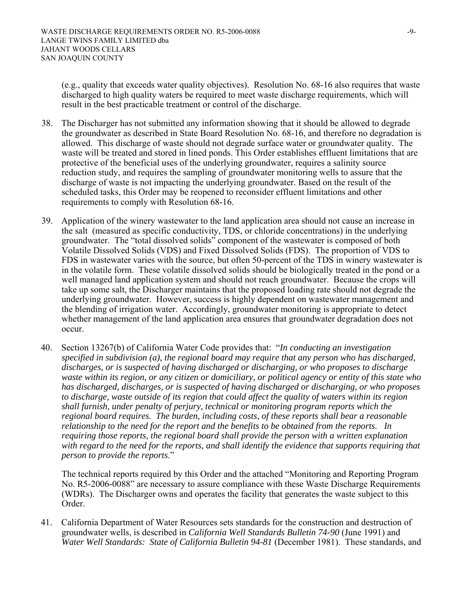(e.g., quality that exceeds water quality objectives). Resolution No. 68-16 also requires that waste discharged to high quality waters be required to meet waste discharge requirements, which will result in the best practicable treatment or control of the discharge.

- 38. The Discharger has not submitted any information showing that it should be allowed to degrade the groundwater as described in State Board Resolution No. 68-16, and therefore no degradation is allowed. This discharge of waste should not degrade surface water or groundwater quality. The waste will be treated and stored in lined ponds. This Order establishes effluent limitations that are protective of the beneficial uses of the underlying groundwater, requires a salinity source reduction study, and requires the sampling of groundwater monitoring wells to assure that the discharge of waste is not impacting the underlying groundwater. Based on the result of the scheduled tasks, this Order may be reopened to reconsider effluent limitations and other requirements to comply with Resolution 68-16.
- 39. Application of the winery wastewater to the land application area should not cause an increase in the salt (measured as specific conductivity, TDS, or chloride concentrations) in the underlying groundwater. The "total dissolved solids" component of the wastewater is composed of both Volatile Dissolved Solids (VDS) and Fixed Dissolved Solids (FDS). The proportion of VDS to FDS in wastewater varies with the source, but often 50-percent of the TDS in winery wastewater is in the volatile form. These volatile dissolved solids should be biologically treated in the pond or a well managed land application system and should not reach groundwater. Because the crops will take up some salt, the Discharger maintains that the proposed loading rate should not degrade the underlying groundwater. However, success is highly dependent on wastewater management and the blending of irrigation water. Accordingly, groundwater monitoring is appropriate to detect whether management of the land application area ensures that groundwater degradation does not occur.
- 40. Section 13267(b) of California Water Code provides that: "*In conducting an investigation specified in subdivision (a), the regional board may require that any person who has discharged, discharges, or is suspected of having discharged or discharging, or who proposes to discharge waste within its region, or any citizen or domiciliary, or political agency or entity of this state who has discharged, discharges, or is suspected of having discharged or discharging, or who proposes to discharge, waste outside of its region that could affect the quality of waters within its region shall furnish, under penalty of perjury, technical or monitoring program reports which the regional board requires. The burden, including costs, of these reports shall bear a reasonable relationship to the need for the report and the benefits to be obtained from the reports. In requiring those reports, the regional board shall provide the person with a written explanation with regard to the need for the reports, and shall identify the evidence that supports requiring that person to provide the reports*."

The technical reports required by this Order and the attached "Monitoring and Reporting Program No. R5-2006-0088" are necessary to assure compliance with these Waste Discharge Requirements (WDRs). The Discharger owns and operates the facility that generates the waste subject to this Order.

41. California Department of Water Resources sets standards for the construction and destruction of groundwater wells, is described in *California Well Standards Bulletin 74-90* (June 1991) and *Water Well Standards: State of California Bulletin 94-81* (December 1981). These standards, and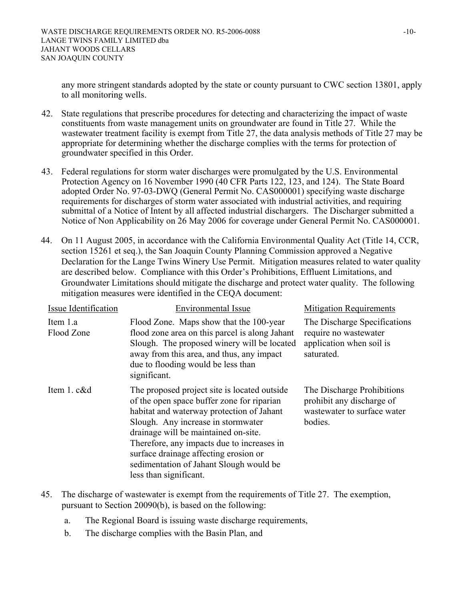any more stringent standards adopted by the state or county pursuant to CWC section 13801, apply to all monitoring wells.

- 42. State regulations that prescribe procedures for detecting and characterizing the impact of waste constituents from waste management units on groundwater are found in Title 27. While the wastewater treatment facility is exempt from Title 27, the data analysis methods of Title 27 may be appropriate for determining whether the discharge complies with the terms for protection of groundwater specified in this Order.
- 43. Federal regulations for storm water discharges were promulgated by the U.S. Environmental Protection Agency on 16 November 1990 (40 CFR Parts 122, 123, and 124). The State Board adopted Order No. 97-03-DWQ (General Permit No. CAS000001) specifying waste discharge requirements for discharges of storm water associated with industrial activities, and requiring submittal of a Notice of Intent by all affected industrial dischargers. The Discharger submitted a Notice of Non Applicability on 26 May 2006 for coverage under General Permit No. CAS000001.
- 44. On 11 August 2005, in accordance with the California Environmental Quality Act (Title 14, CCR, section 15261 et seq.), the San Joaquin County Planning Commission approved a Negative Declaration for the Lange Twins Winery Use Permit. Mitigation measures related to water quality are described below. Compliance with this Order's Prohibitions, Effluent Limitations, and Groundwater Limitations should mitigate the discharge and protect water quality. The following mitigation measures were identified in the CEQA document:

| Issue Identification   | <b>Environmental Issue</b>                                                                                                                                                                                                                                                                                                                                                         | <b>Mitigation Requirements</b>                                                                    |
|------------------------|------------------------------------------------------------------------------------------------------------------------------------------------------------------------------------------------------------------------------------------------------------------------------------------------------------------------------------------------------------------------------------|---------------------------------------------------------------------------------------------------|
| Item 1.a<br>Flood Zone | Flood Zone. Maps show that the 100-year<br>flood zone area on this parcel is along Jahant<br>Slough. The proposed winery will be located<br>away from this area, and thus, any impact<br>due to flooding would be less than<br>significant.                                                                                                                                        | The Discharge Specifications<br>require no wastewater<br>application when soil is<br>saturated.   |
| Item 1. c&d            | The proposed project site is located outside.<br>of the open space buffer zone for riparian<br>habitat and waterway protection of Jahant<br>Slough. Any increase in stormwater<br>drainage will be maintained on-site.<br>Therefore, any impacts due to increases in<br>surface drainage affecting erosion or<br>sedimentation of Jahant Slough would be<br>less than significant. | The Discharge Prohibitions<br>prohibit any discharge of<br>wastewater to surface water<br>bodies. |

- 45. The discharge of wastewater is exempt from the requirements of Title 27. The exemption, pursuant to Section 20090(b), is based on the following:
	- a. The Regional Board is issuing waste discharge requirements,
	- b. The discharge complies with the Basin Plan, and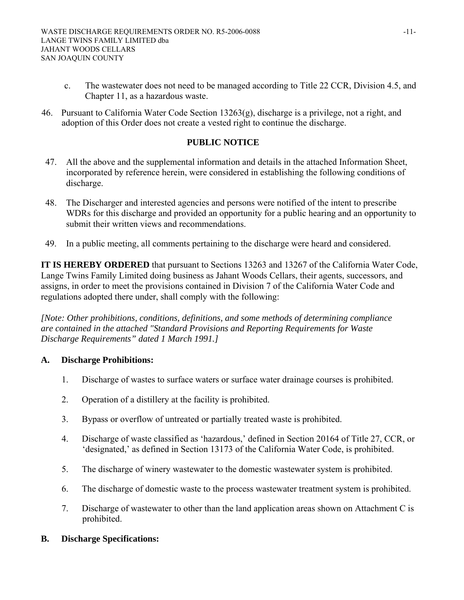- c. The wastewater does not need to be managed according to Title 22 CCR, Division 4.5, and Chapter 11, as a hazardous waste.
- 46. Pursuant to California Water Code Section 13263(g), discharge is a privilege, not a right, and adoption of this Order does not create a vested right to continue the discharge.

# **PUBLIC NOTICE**

- 47. All the above and the supplemental information and details in the attached Information Sheet, incorporated by reference herein, were considered in establishing the following conditions of discharge.
- 48. The Discharger and interested agencies and persons were notified of the intent to prescribe WDRs for this discharge and provided an opportunity for a public hearing and an opportunity to submit their written views and recommendations.
- 49. In a public meeting, all comments pertaining to the discharge were heard and considered.

**IT IS HEREBY ORDERED** that pursuant to Sections 13263 and 13267 of the California Water Code, Lange Twins Family Limited doing business as Jahant Woods Cellars, their agents, successors, and assigns, in order to meet the provisions contained in Division 7 of the California Water Code and regulations adopted there under, shall comply with the following:

*[Note: Other prohibitions, conditions, definitions, and some methods of determining compliance are contained in the attached "Standard Provisions and Reporting Requirements for Waste Discharge Requirements" dated 1 March 1991.]* 

## **A. Discharge Prohibitions:**

- 1. Discharge of wastes to surface waters or surface water drainage courses is prohibited.
- 2. Operation of a distillery at the facility is prohibited.
- 3. Bypass or overflow of untreated or partially treated waste is prohibited.
- 4. Discharge of waste classified as 'hazardous,' defined in Section 20164 of Title 27, CCR, or 'designated,' as defined in Section 13173 of the California Water Code, is prohibited.
- 5. The discharge of winery wastewater to the domestic wastewater system is prohibited.
- 6. The discharge of domestic waste to the process wastewater treatment system is prohibited.
- 7. Discharge of wastewater to other than the land application areas shown on Attachment C is prohibited.

#### **B. Discharge Specifications:**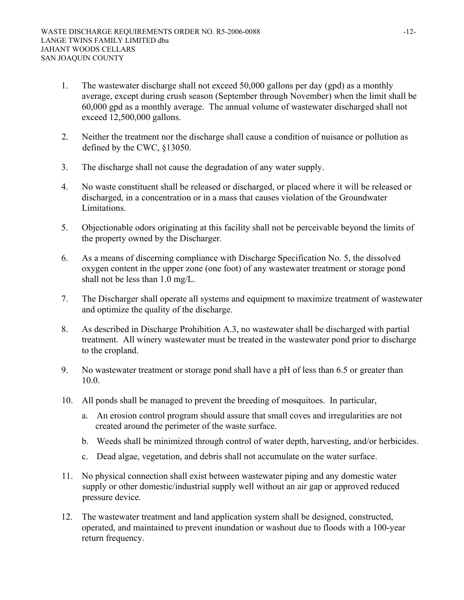- 1. The wastewater discharge shall not exceed 50,000 gallons per day (gpd) as a monthly average, except during crush season (September through November) when the limit shall be 60,000 gpd as a monthly average. The annual volume of wastewater discharged shall not exceed 12,500,000 gallons.
- 2. Neither the treatment nor the discharge shall cause a condition of nuisance or pollution as defined by the CWC, §13050.
- 3. The discharge shall not cause the degradation of any water supply.
- 4. No waste constituent shall be released or discharged, or placed where it will be released or discharged, in a concentration or in a mass that causes violation of the Groundwater Limitations.
- 5. Objectionable odors originating at this facility shall not be perceivable beyond the limits of the property owned by the Discharger.
- 6. As a means of discerning compliance with Discharge Specification No. 5, the dissolved oxygen content in the upper zone (one foot) of any wastewater treatment or storage pond shall not be less than 1.0 mg/L.
- 7. The Discharger shall operate all systems and equipment to maximize treatment of wastewater and optimize the quality of the discharge.
- 8. As described in Discharge Prohibition A.3, no wastewater shall be discharged with partial treatment. All winery wastewater must be treated in the wastewater pond prior to discharge to the cropland.
- 9. No wastewater treatment or storage pond shall have a pH of less than 6.5 or greater than 10.0.
- 10. All ponds shall be managed to prevent the breeding of mosquitoes. In particular,
	- a. An erosion control program should assure that small coves and irregularities are not created around the perimeter of the waste surface.
	- b. Weeds shall be minimized through control of water depth, harvesting, and/or herbicides.
	- c. Dead algae, vegetation, and debris shall not accumulate on the water surface.
- 11. No physical connection shall exist between wastewater piping and any domestic water supply or other domestic/industrial supply well without an air gap or approved reduced pressure device.
- 12. The wastewater treatment and land application system shall be designed, constructed, operated, and maintained to prevent inundation or washout due to floods with a 100-year return frequency.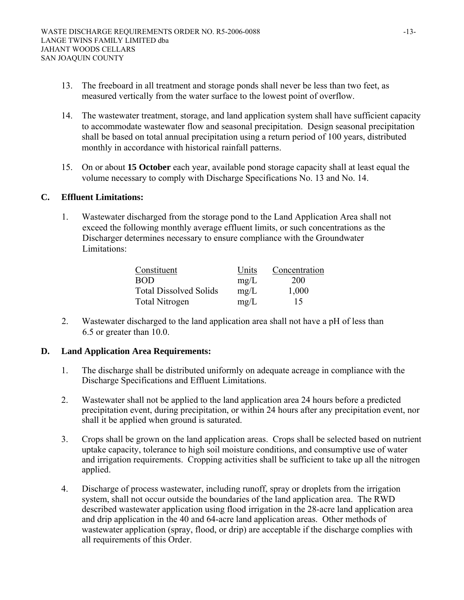- 13. The freeboard in all treatment and storage ponds shall never be less than two feet, as measured vertically from the water surface to the lowest point of overflow.
- 14. The wastewater treatment, storage, and land application system shall have sufficient capacity to accommodate wastewater flow and seasonal precipitation. Design seasonal precipitation shall be based on total annual precipitation using a return period of 100 years, distributed monthly in accordance with historical rainfall patterns.
- 15. On or about **15 October** each year, available pond storage capacity shall at least equal the volume necessary to comply with Discharge Specifications No. 13 and No. 14.

## **C. Effluent Limitations:**

1. Wastewater discharged from the storage pond to the Land Application Area shall not exceed the following monthly average effluent limits, or such concentrations as the Discharger determines necessary to ensure compliance with the Groundwater Limitations:

| Constituent                   | Units | Concentration |
|-------------------------------|-------|---------------|
| BOD                           | mg/L  | 200           |
| <b>Total Dissolved Solids</b> | mg/L  | 1,000         |
| Total Nitrogen                | mg/L  | 15            |

2. Wastewater discharged to the land application area shall not have a pH of less than 6.5 or greater than 10.0.

# **D. Land Application Area Requirements:**

- 1. The discharge shall be distributed uniformly on adequate acreage in compliance with the Discharge Specifications and Effluent Limitations.
- 2. Wastewater shall not be applied to the land application area 24 hours before a predicted precipitation event, during precipitation, or within 24 hours after any precipitation event, nor shall it be applied when ground is saturated.
- 3. Crops shall be grown on the land application areas. Crops shall be selected based on nutrient uptake capacity, tolerance to high soil moisture conditions, and consumptive use of water and irrigation requirements. Cropping activities shall be sufficient to take up all the nitrogen applied.
- 4. Discharge of process wastewater, including runoff, spray or droplets from the irrigation system, shall not occur outside the boundaries of the land application area. The RWD described wastewater application using flood irrigation in the 28-acre land application area and drip application in the 40 and 64-acre land application areas. Other methods of wastewater application (spray, flood, or drip) are acceptable if the discharge complies with all requirements of this Order.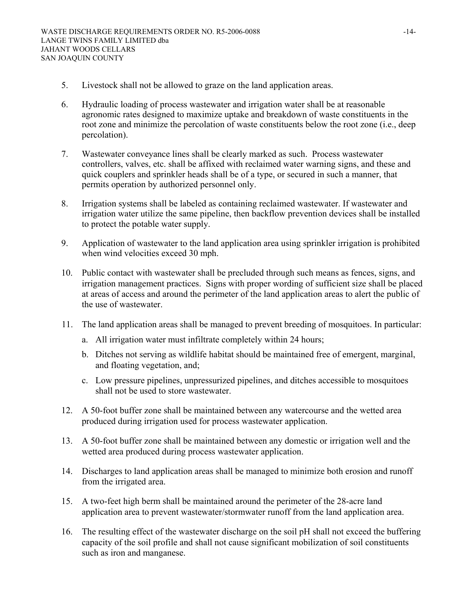- 5. Livestock shall not be allowed to graze on the land application areas.
- 6. Hydraulic loading of process wastewater and irrigation water shall be at reasonable agronomic rates designed to maximize uptake and breakdown of waste constituents in the root zone and minimize the percolation of waste constituents below the root zone (i.e., deep percolation).
- 7. Wastewater conveyance lines shall be clearly marked as such. Process wastewater controllers, valves, etc. shall be affixed with reclaimed water warning signs, and these and quick couplers and sprinkler heads shall be of a type, or secured in such a manner, that permits operation by authorized personnel only.
- 8. Irrigation systems shall be labeled as containing reclaimed wastewater. If wastewater and irrigation water utilize the same pipeline, then backflow prevention devices shall be installed to protect the potable water supply.
- 9. Application of wastewater to the land application area using sprinkler irrigation is prohibited when wind velocities exceed 30 mph.
- 10. Public contact with wastewater shall be precluded through such means as fences, signs, and irrigation management practices. Signs with proper wording of sufficient size shall be placed at areas of access and around the perimeter of the land application areas to alert the public of the use of wastewater.
- 11. The land application areas shall be managed to prevent breeding of mosquitoes. In particular:
	- a. All irrigation water must infiltrate completely within 24 hours;
	- b. Ditches not serving as wildlife habitat should be maintained free of emergent, marginal, and floating vegetation, and;
	- c. Low pressure pipelines, unpressurized pipelines, and ditches accessible to mosquitoes shall not be used to store wastewater.
- 12. A 50-foot buffer zone shall be maintained between any watercourse and the wetted area produced during irrigation used for process wastewater application.
- 13. A 50-foot buffer zone shall be maintained between any domestic or irrigation well and the wetted area produced during process wastewater application.
- 14. Discharges to land application areas shall be managed to minimize both erosion and runoff from the irrigated area.
- 15. A two-feet high berm shall be maintained around the perimeter of the 28-acre land application area to prevent wastewater/stormwater runoff from the land application area.
- 16. The resulting effect of the wastewater discharge on the soil pH shall not exceed the buffering capacity of the soil profile and shall not cause significant mobilization of soil constituents such as iron and manganese.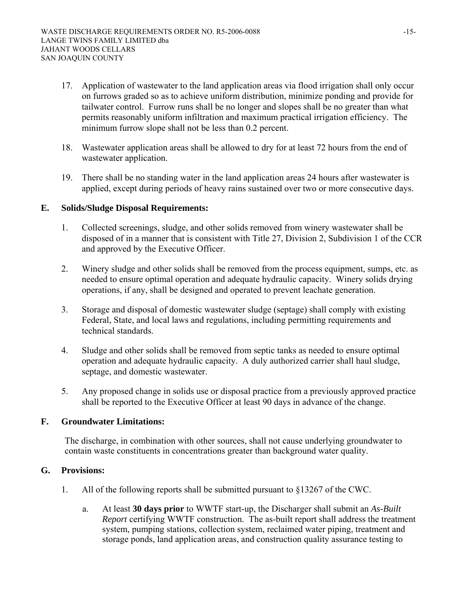- 17. Application of wastewater to the land application areas via flood irrigation shall only occur on furrows graded so as to achieve uniform distribution, minimize ponding and provide for tailwater control. Furrow runs shall be no longer and slopes shall be no greater than what permits reasonably uniform infiltration and maximum practical irrigation efficiency. The minimum furrow slope shall not be less than 0.2 percent.
- 18. Wastewater application areas shall be allowed to dry for at least 72 hours from the end of wastewater application.
- 19. There shall be no standing water in the land application areas 24 hours after wastewater is applied, except during periods of heavy rains sustained over two or more consecutive days.

# **E. Solids/Sludge Disposal Requirements:**

- 1. Collected screenings, sludge, and other solids removed from winery wastewater shall be disposed of in a manner that is consistent with Title 27, Division 2, Subdivision 1 of the CCR and approved by the Executive Officer.
- 2. Winery sludge and other solids shall be removed from the process equipment, sumps, etc. as needed to ensure optimal operation and adequate hydraulic capacity. Winery solids drying operations, if any, shall be designed and operated to prevent leachate generation.
- 3. Storage and disposal of domestic wastewater sludge (septage) shall comply with existing Federal, State, and local laws and regulations, including permitting requirements and technical standards.
- 4. Sludge and other solids shall be removed from septic tanks as needed to ensure optimal operation and adequate hydraulic capacity. A duly authorized carrier shall haul sludge, septage, and domestic wastewater.
- 5. Any proposed change in solids use or disposal practice from a previously approved practice shall be reported to the Executive Officer at least 90 days in advance of the change.

## **F. Groundwater Limitations:**

The discharge, in combination with other sources, shall not cause underlying groundwater to contain waste constituents in concentrations greater than background water quality.

## **G. Provisions:**

- 1. All of the following reports shall be submitted pursuant to §13267 of the CWC.
	- a. At least **30 days prior** to WWTF start-up, the Discharger shall submit an *As-Built Report* certifying WWTF construction. The as-built report shall address the treatment system, pumping stations, collection system, reclaimed water piping, treatment and storage ponds, land application areas, and construction quality assurance testing to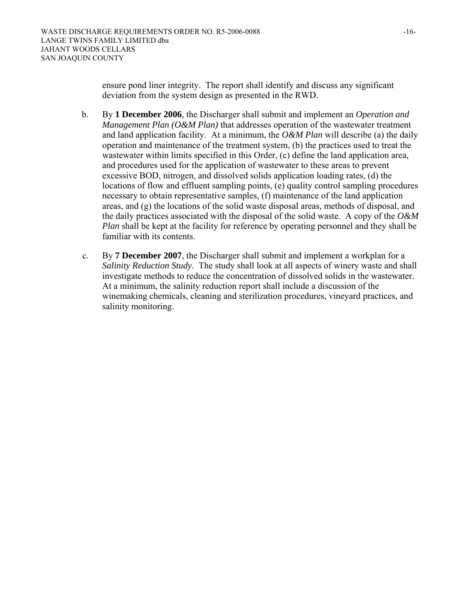ensure pond liner integrity. The report shall identify and discuss any significant deviation from the system design as presented in the RWD.

- b. By **1 December 2006***,* the Discharger shall submit and implement an *Operation and Management Plan (O&M Plan)* that addresses operation of the wastewater treatment and land application facility. At a minimum, the *O&M Plan* will describe (a) the daily operation and maintenance of the treatment system, (b) the practices used to treat the wastewater within limits specified in this Order, (c) define the land application area, and procedures used for the application of wastewater to these areas to prevent excessive BOD, nitrogen, and dissolved solids application loading rates, (d) the locations of flow and effluent sampling points, (e) quality control sampling procedures necessary to obtain representative samples, (f) maintenance of the land application areas, and (g) the locations of the solid waste disposal areas, methods of disposal, and the daily practices associated with the disposal of the solid waste. A copy of the *O&M Plan* shall be kept at the facility for reference by operating personnel and they shall be familiar with its contents.
- c. By **7 December 2007**, the Discharger shall submit and implement a workplan for a *Salinity Reduction Study*. The study shall look at all aspects of winery waste and shall investigate methods to reduce the concentration of dissolved solids in the wastewater. At a minimum, the salinity reduction report shall include a discussion of the winemaking chemicals, cleaning and sterilization procedures, vineyard practices, and salinity monitoring.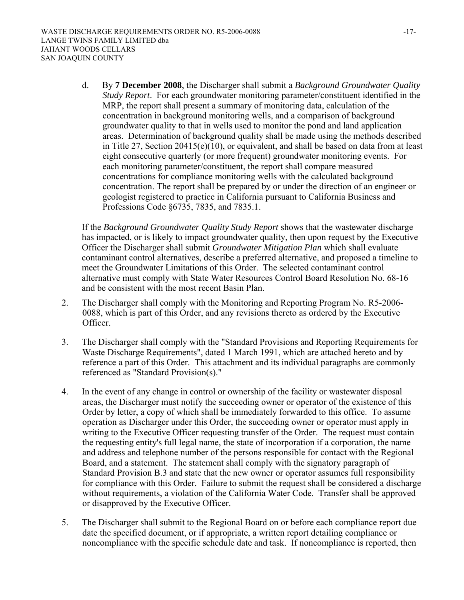d. By **7 December 2008**, the Discharger shall submit a *Background Groundwater Quality Study Report*. For each groundwater monitoring parameter/constituent identified in the MRP, the report shall present a summary of monitoring data, calculation of the concentration in background monitoring wells, and a comparison of background groundwater quality to that in wells used to monitor the pond and land application areas. Determination of background quality shall be made using the methods described in Title 27, Section 20415(e)(10), or equivalent, and shall be based on data from at least eight consecutive quarterly (or more frequent) groundwater monitoring events. For each monitoring parameter/constituent, the report shall compare measured concentrations for compliance monitoring wells with the calculated background concentration. The report shall be prepared by or under the direction of an engineer or geologist registered to practice in California pursuant to California Business and Professions Code §6735, 7835, and 7835.1.

If the *Background Groundwater Quality Study Report* shows that the wastewater discharge has impacted, or is likely to impact groundwater quality, then upon request by the Executive Officer the Discharger shall submit *Groundwater Mitigation Plan* which shall evaluate contaminant control alternatives, describe a preferred alternative, and proposed a timeline to meet the Groundwater Limitations of this Order. The selected contaminant control alternative must comply with State Water Resources Control Board Resolution No. 68-16 and be consistent with the most recent Basin Plan.

- 2. The Discharger shall comply with the Monitoring and Reporting Program No. R5-2006- 0088, which is part of this Order, and any revisions thereto as ordered by the Executive Officer.
- 3. The Discharger shall comply with the "Standard Provisions and Reporting Requirements for Waste Discharge Requirements", dated 1 March 1991, which are attached hereto and by reference a part of this Order. This attachment and its individual paragraphs are commonly referenced as "Standard Provision(s)."
- 4. In the event of any change in control or ownership of the facility or wastewater disposal areas, the Discharger must notify the succeeding owner or operator of the existence of this Order by letter, a copy of which shall be immediately forwarded to this office. To assume operation as Discharger under this Order, the succeeding owner or operator must apply in writing to the Executive Officer requesting transfer of the Order. The request must contain the requesting entity's full legal name, the state of incorporation if a corporation, the name and address and telephone number of the persons responsible for contact with the Regional Board, and a statement. The statement shall comply with the signatory paragraph of Standard Provision B.3 and state that the new owner or operator assumes full responsibility for compliance with this Order. Failure to submit the request shall be considered a discharge without requirements, a violation of the California Water Code. Transfer shall be approved or disapproved by the Executive Officer.
- 5. The Discharger shall submit to the Regional Board on or before each compliance report due date the specified document, or if appropriate, a written report detailing compliance or noncompliance with the specific schedule date and task. If noncompliance is reported, then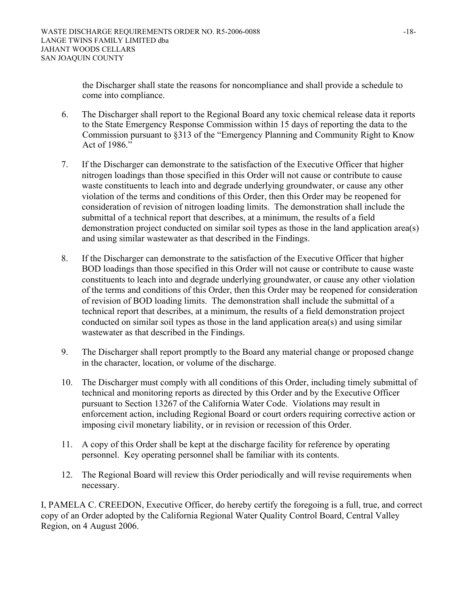the Discharger shall state the reasons for noncompliance and shall provide a schedule to come into compliance.

- 6. The Discharger shall report to the Regional Board any toxic chemical release data it reports to the State Emergency Response Commission within 15 days of reporting the data to the Commission pursuant to §313 of the "Emergency Planning and Community Right to Know Act of 1986."
- 7. If the Discharger can demonstrate to the satisfaction of the Executive Officer that higher nitrogen loadings than those specified in this Order will not cause or contribute to cause waste constituents to leach into and degrade underlying groundwater, or cause any other violation of the terms and conditions of this Order, then this Order may be reopened for consideration of revision of nitrogen loading limits. The demonstration shall include the submittal of a technical report that describes, at a minimum, the results of a field demonstration project conducted on similar soil types as those in the land application area(s) and using similar wastewater as that described in the Findings.
- 8. If the Discharger can demonstrate to the satisfaction of the Executive Officer that higher BOD loadings than those specified in this Order will not cause or contribute to cause waste constituents to leach into and degrade underlying groundwater, or cause any other violation of the terms and conditions of this Order, then this Order may be reopened for consideration of revision of BOD loading limits. The demonstration shall include the submittal of a technical report that describes, at a minimum, the results of a field demonstration project conducted on similar soil types as those in the land application area(s) and using similar wastewater as that described in the Findings.
- 9. The Discharger shall report promptly to the Board any material change or proposed change in the character, location, or volume of the discharge.
- 10. The Discharger must comply with all conditions of this Order, including timely submittal of technical and monitoring reports as directed by this Order and by the Executive Officer pursuant to Section 13267 of the California Water Code. Violations may result in enforcement action, including Regional Board or court orders requiring corrective action or imposing civil monetary liability, or in revision or recession of this Order.
- 11. A copy of this Order shall be kept at the discharge facility for reference by operating personnel. Key operating personnel shall be familiar with its contents.
- 12. The Regional Board will review this Order periodically and will revise requirements when necessary.

I, PAMELA C. CREEDON, Executive Officer, do hereby certify the foregoing is a full, true, and correct copy of an Order adopted by the California Regional Water Quality Control Board, Central Valley Region, on 4 August 2006.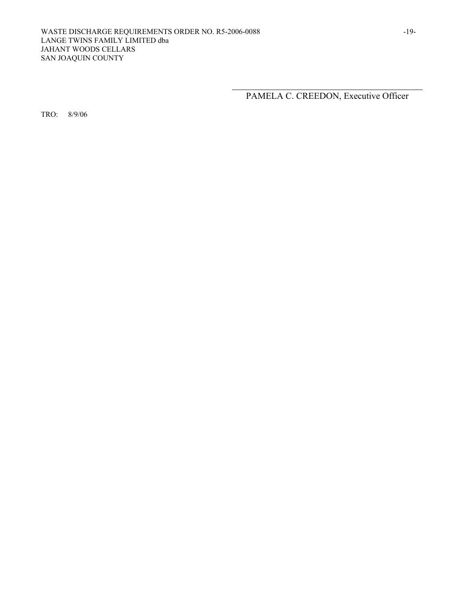PAMELA C. CREEDON, Executive Officer

TRO: 8/9/06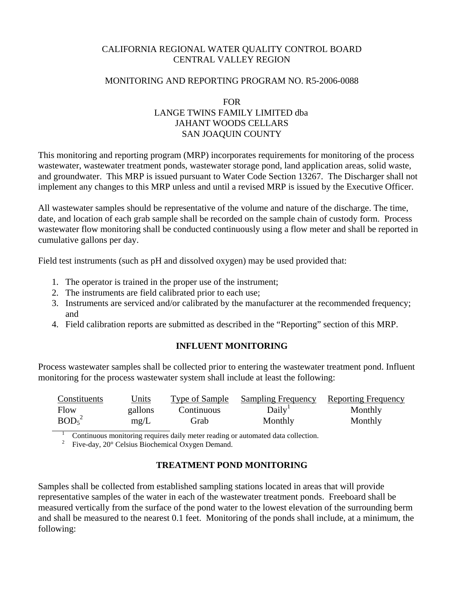# CALIFORNIA REGIONAL WATER QUALITY CONTROL BOARD CENTRAL VALLEY REGION

# MONITORING AND REPORTING PROGRAM NO. R5-2006-0088

# FOR LANGE TWINS FAMILY LIMITED dba JAHANT WOODS CELLARS SAN JOAQUIN COUNTY

This monitoring and reporting program (MRP) incorporates requirements for monitoring of the process wastewater, wastewater treatment ponds, wastewater storage pond, land application areas, solid waste, and groundwater. This MRP is issued pursuant to Water Code Section 13267. The Discharger shall not implement any changes to this MRP unless and until a revised MRP is issued by the Executive Officer.

All wastewater samples should be representative of the volume and nature of the discharge. The time, date, and location of each grab sample shall be recorded on the sample chain of custody form. Process wastewater flow monitoring shall be conducted continuously using a flow meter and shall be reported in cumulative gallons per day.

Field test instruments (such as pH and dissolved oxygen) may be used provided that:

- 1. The operator is trained in the proper use of the instrument;
- 2. The instruments are field calibrated prior to each use;
- 3. Instruments are serviced and/or calibrated by the manufacturer at the recommended frequency; and
- 4. Field calibration reports are submitted as described in the "Reporting" section of this MRP.

# **INFLUENT MONITORING**

Process wastewater samples shall be collected prior to entering the wastewater treatment pond. Influent monitoring for the process wastewater system shall include at least the following:

| Constituents                  | <u>Units</u> | Type of Sample | <b>Sampling Frequency</b> | <b>Reporting Frequency</b> |
|-------------------------------|--------------|----------------|---------------------------|----------------------------|
| Flow                          | gallons      | Continuous     | Daily <sup>1</sup>        | Monthly                    |
| BOD <sub>5</sub> <sup>2</sup> | mg/L         | Grab           | Monthly                   | Monthly                    |

1 Continuous monitoring requires daily meter reading or automated data collection.

2 Five-day, 20° Celsius Biochemical Oxygen Demand.

# **TREATMENT POND MONITORING**

Samples shall be collected from established sampling stations located in areas that will provide representative samples of the water in each of the wastewater treatment ponds. Freeboard shall be measured vertically from the surface of the pond water to the lowest elevation of the surrounding berm and shall be measured to the nearest 0.1 feet. Monitoring of the ponds shall include, at a minimum, the following: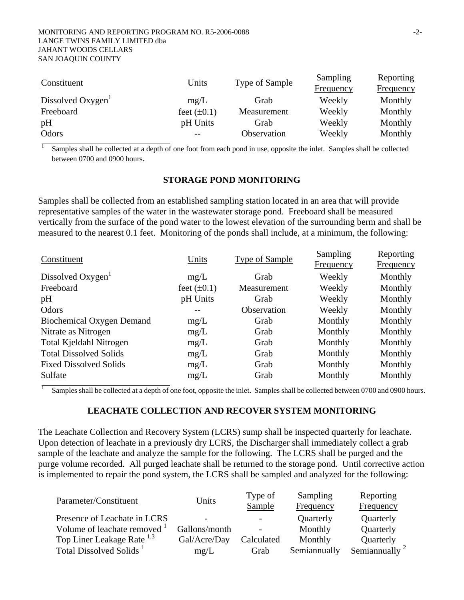#### MONITORING AND REPORTING PROGRAM NO. R5-2006-0088 -2- LANGE TWINS FAMILY LIMITED dba JAHANT WOODS CELLARS SAN JOAQUIN COUNTY

| Constituent                   | Units            | Type of Sample | Sampling<br><b>Frequency</b> | Reporting<br><b>Frequency</b> |
|-------------------------------|------------------|----------------|------------------------------|-------------------------------|
| Dissolved Oxygen <sup>1</sup> | mg/L             | Grab           | Weekly                       | Monthly                       |
| Freeboard                     | feet $(\pm 0.1)$ | Measurement    | Weekly                       | Monthly                       |
| pH                            | pH Units         | Grab           | Weekly                       | Monthly                       |
| Odors                         |                  | Observation    | Weekly                       | Monthly                       |

1 Samples shall be collected at a depth of one foot from each pond in use, opposite the inlet. Samples shall be collected between 0700 and 0900 hours.

#### **STORAGE POND MONITORING**

Samples shall be collected from an established sampling station located in an area that will provide representative samples of the water in the wastewater storage pond. Freeboard shall be measured vertically from the surface of the pond water to the lowest elevation of the surrounding berm and shall be measured to the nearest 0.1 feet. Monitoring of the ponds shall include, at a minimum, the following:

| Frequency<br>Monthly |
|----------------------|
|                      |
|                      |
| Monthly              |
| Monthly              |
| Monthly              |
| Monthly              |
| Monthly              |
| Monthly              |
| Monthly              |
| Monthly              |
| Monthly              |
|                      |

Samples shall be collected at a depth of one foot, opposite the inlet. Samples shall be collected between 0700 and 0900 hours.

#### **LEACHATE COLLECTION AND RECOVER SYSTEM MONITORING**

The Leachate Collection and Recovery System (LCRS) sump shall be inspected quarterly for leachate. Upon detection of leachate in a previously dry LCRS, the Discharger shall immediately collect a grab sample of the leachate and analyze the sample for the following. The LCRS shall be purged and the purge volume recorded. All purged leachate shall be returned to the storage pond. Until corrective action is implemented to repair the pond system, the LCRS shall be sampled and analyzed for the following:

| Parameter/Constituent                   | Units                    | Type of    | Sampling     | Reporting          |
|-----------------------------------------|--------------------------|------------|--------------|--------------------|
|                                         |                          | Sample     | Frequency    | Frequency          |
| Presence of Leachate in LCRS            | $\overline{\phantom{0}}$ |            | Quarterly    | Quarterly          |
| Volume of leachate removed <sup>1</sup> | Gallons/month            |            | Monthly      | Quarterly          |
| Top Liner Leakage Rate <sup>1,3</sup>   | Gal/Acre/Day             | Calculated | Monthly      | Quarterly          |
| Total Dissolved Solids <sup>1</sup>     | mg/L                     | Grab       | Semiannually | Semiannually $2^2$ |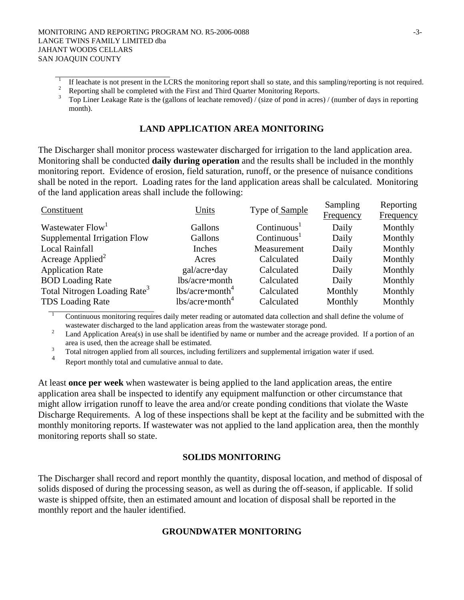# **LAND APPLICATION AREA MONITORING**

The Discharger shall monitor process wastewater discharged for irrigation to the land application area. Monitoring shall be conducted **daily during operation** and the results shall be included in the monthly monitoring report. Evidence of erosion, field saturation, runoff, or the presence of nuisance conditions shall be noted in the report. Loading rates for the land application areas shall be calculated. Monitoring of the land application areas shall include the following:

| Units                    | Type of Sample          | Sampling<br>Frequency | Reporting<br>Frequency |
|--------------------------|-------------------------|-----------------------|------------------------|
| Gallons                  | Continuous <sup>1</sup> | Daily                 | Monthly                |
| Gallons                  | Continuous <sup>1</sup> | Daily                 | Monthly                |
| Inches                   | Measurement             | Daily                 | Monthly                |
| Acres                    | Calculated              | Daily                 | Monthly                |
| gal/acre•day             | Calculated              | Daily                 | Monthly                |
| lbs/acre•month           | Calculated              | Daily                 | Monthly                |
| lbs/acre <sup>4</sup>    | Calculated              | Monthly               | Monthly                |
| $lbs/acre \cdot month^4$ | Calculated              | Monthly               | Monthly                |
|                          |                         |                       |                        |

1 Continuous monitoring requires daily meter reading or automated data collection and shall define the volume of wastewater discharged to the land application areas from the wastewater storage pond. 2

 Land Application Area(s) in use shall be identified by name or number and the acreage provided. If a portion of an area is used, then the acreage shall be estimated.<br> $3 \quad$ Total nitrogen analized from all sources including

Total nitrogen applied from all sources, including fertilizers and supplemental irrigation water if used.

Report monthly total and cumulative annual to date.

At least **once per week** when wastewater is being applied to the land application areas, the entire application area shall be inspected to identify any equipment malfunction or other circumstance that might allow irrigation runoff to leave the area and/or create ponding conditions that violate the Waste Discharge Requirements. A log of these inspections shall be kept at the facility and be submitted with the monthly monitoring reports. If wastewater was not applied to the land application area, then the monthly monitoring reports shall so state.

# **SOLIDS MONITORING**

The Discharger shall record and report monthly the quantity, disposal location, and method of disposal of solids disposed of during the processing season, as well as during the off-season, if applicable. If solid waste is shipped offsite, then an estimated amount and location of disposal shall be reported in the monthly report and the hauler identified.

# **GROUNDWATER MONITORING**

Reporting shall be completed with the First and Third Quarter Monitoring Reports.<br><sup>3</sup> Top Liner Laskage Rate is the (gallons of laschate removed) / (size of pond in acre

Top Liner Leakage Rate is the (gallons of leachate removed) / (size of pond in acres) / (number of days in reporting month).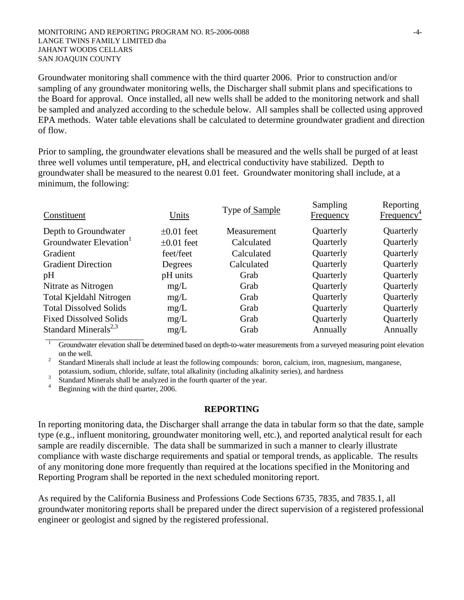Groundwater monitoring shall commence with the third quarter 2006. Prior to construction and/or sampling of any groundwater monitoring wells, the Discharger shall submit plans and specifications to the Board for approval. Once installed, all new wells shall be added to the monitoring network and shall be sampled and analyzed according to the schedule below. All samples shall be collected using approved EPA methods. Water table elevations shall be calculated to determine groundwater gradient and direction of flow.

Prior to sampling, the groundwater elevations shall be measured and the wells shall be purged of at least three well volumes until temperature, pH, and electrical conductivity have stabilized. Depth to groundwater shall be measured to the nearest 0.01 feet. Groundwater monitoring shall include, at a minimum, the following:

| Constituent                        | Units           | Type of Sample | Sampling<br><b>Frequency</b> | Reporting<br>Frequency <sup>4</sup> |
|------------------------------------|-----------------|----------------|------------------------------|-------------------------------------|
| Depth to Groundwater               | $\pm 0.01$ feet | Measurement    | Quarterly                    | Quarterly                           |
| Groundwater Elevation <sup>1</sup> | $\pm 0.01$ feet | Calculated     | Quarterly                    | Quarterly                           |
| Gradient                           | feet/feet       | Calculated     | Quarterly                    | Quarterly                           |
| <b>Gradient Direction</b>          | Degrees         | Calculated     | Quarterly                    | Quarterly                           |
| pH                                 | pH units        | Grab           | Quarterly                    | Quarterly                           |
| Nitrate as Nitrogen                | mg/L            | Grab           | Quarterly                    | Quarterly                           |
| Total Kjeldahl Nitrogen            | mg/L            | Grab           | Quarterly                    | Quarterly                           |
| <b>Total Dissolved Solids</b>      | mg/L            | Grab           | Quarterly                    | Quarterly                           |
| <b>Fixed Dissolved Solids</b>      | mg/L            | Grab           | Quarterly                    | Quarterly                           |
| Standard Minerals <sup>2,3</sup>   | mg/L            | Grab           | Annually                     | Annually                            |

1 Groundwater elevation shall be determined based on depth-to-water measurements from a surveyed measuring point elevation on the well.<br><sup>2</sup> Standard M

 Standard Minerals shall include at least the following compounds: boron, calcium, iron, magnesium, manganese, potassium, sodium, chloride, sulfate, total alkalinity (including alkalinity series), and hardness<br>3 Standard Minorals shall be analyzed in the fourth querter of the year.

Standard Minerals shall be analyzed in the fourth quarter of the year.<br> $\frac{4}{100}$  Beginning with the third quarter 2006

<sup>4</sup> Beginning with the third quarter, 2006.

#### **REPORTING**

In reporting monitoring data, the Discharger shall arrange the data in tabular form so that the date, sample type (e.g., influent monitoring, groundwater monitoring well, etc.), and reported analytical result for each sample are readily discernible. The data shall be summarized in such a manner to clearly illustrate compliance with waste discharge requirements and spatial or temporal trends, as applicable. The results of any monitoring done more frequently than required at the locations specified in the Monitoring and Reporting Program shall be reported in the next scheduled monitoring report.

As required by the California Business and Professions Code Sections 6735, 7835, and 7835.1, all groundwater monitoring reports shall be prepared under the direct supervision of a registered professional engineer or geologist and signed by the registered professional.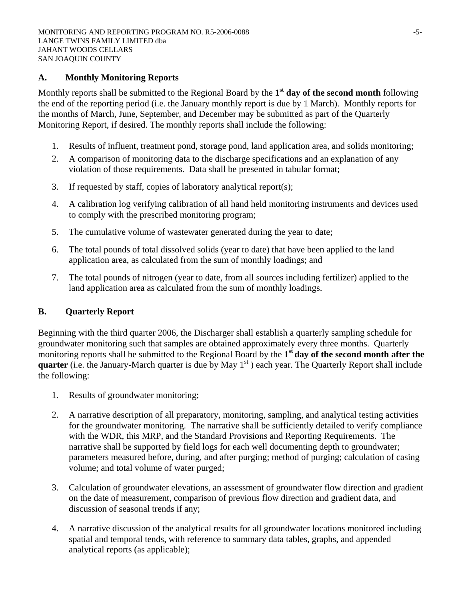# **A. Monthly Monitoring Reports**

Monthly reports shall be submitted to the Regional Board by the **1st day of the second month** following the end of the reporting period (i.e. the January monthly report is due by 1 March). Monthly reports for the months of March, June, September, and December may be submitted as part of the Quarterly Monitoring Report, if desired. The monthly reports shall include the following:

- 1. Results of influent, treatment pond, storage pond, land application area, and solids monitoring;
- 2. A comparison of monitoring data to the discharge specifications and an explanation of any violation of those requirements. Data shall be presented in tabular format;
- 3. If requested by staff, copies of laboratory analytical report(s);
- 4. A calibration log verifying calibration of all hand held monitoring instruments and devices used to comply with the prescribed monitoring program;
- 5. The cumulative volume of wastewater generated during the year to date;
- 6. The total pounds of total dissolved solids (year to date) that have been applied to the land application area, as calculated from the sum of monthly loadings; and
- 7. The total pounds of nitrogen (year to date, from all sources including fertilizer) applied to the land application area as calculated from the sum of monthly loadings.

# **B. Quarterly Report**

Beginning with the third quarter 2006, the Discharger shall establish a quarterly sampling schedule for groundwater monitoring such that samples are obtained approximately every three months. Quarterly monitoring reports shall be submitted to the Regional Board by the **1st day of the second month after the quarter** (i.e. the January-March quarter is due by May  $1<sup>st</sup>$ ) each year. The Quarterly Report shall include the following:

- 1. Results of groundwater monitoring;
- 2. A narrative description of all preparatory, monitoring, sampling, and analytical testing activities for the groundwater monitoring. The narrative shall be sufficiently detailed to verify compliance with the WDR, this MRP, and the Standard Provisions and Reporting Requirements. The narrative shall be supported by field logs for each well documenting depth to groundwater; parameters measured before, during, and after purging; method of purging; calculation of casing volume; and total volume of water purged;
- 3. Calculation of groundwater elevations, an assessment of groundwater flow direction and gradient on the date of measurement, comparison of previous flow direction and gradient data, and discussion of seasonal trends if any;
- 4. A narrative discussion of the analytical results for all groundwater locations monitored including spatial and temporal tends, with reference to summary data tables, graphs, and appended analytical reports (as applicable);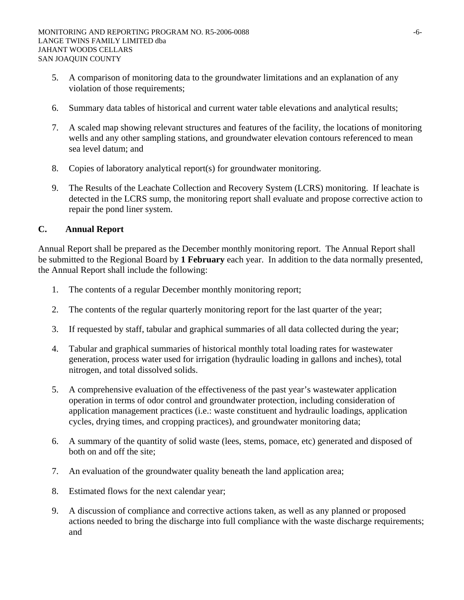- 5. A comparison of monitoring data to the groundwater limitations and an explanation of any violation of those requirements;
- 6. Summary data tables of historical and current water table elevations and analytical results;
- 7. A scaled map showing relevant structures and features of the facility, the locations of monitoring wells and any other sampling stations, and groundwater elevation contours referenced to mean sea level datum; and
- 8. Copies of laboratory analytical report(s) for groundwater monitoring.
- 9. The Results of the Leachate Collection and Recovery System (LCRS) monitoring. If leachate is detected in the LCRS sump, the monitoring report shall evaluate and propose corrective action to repair the pond liner system.

# **C. Annual Report**

Annual Report shall be prepared as the December monthly monitoring report. The Annual Report shall be submitted to the Regional Board by **1 February** each year. In addition to the data normally presented, the Annual Report shall include the following:

- 1. The contents of a regular December monthly monitoring report;
- 2. The contents of the regular quarterly monitoring report for the last quarter of the year;
- 3. If requested by staff, tabular and graphical summaries of all data collected during the year;
- 4. Tabular and graphical summaries of historical monthly total loading rates for wastewater generation, process water used for irrigation (hydraulic loading in gallons and inches), total nitrogen, and total dissolved solids.
- 5. A comprehensive evaluation of the effectiveness of the past year's wastewater application operation in terms of odor control and groundwater protection, including consideration of application management practices (i.e.: waste constituent and hydraulic loadings, application cycles, drying times, and cropping practices), and groundwater monitoring data;
- 6. A summary of the quantity of solid waste (lees, stems, pomace, etc) generated and disposed of both on and off the site;
- 7. An evaluation of the groundwater quality beneath the land application area;
- 8. Estimated flows for the next calendar year;
- 9. A discussion of compliance and corrective actions taken, as well as any planned or proposed actions needed to bring the discharge into full compliance with the waste discharge requirements; and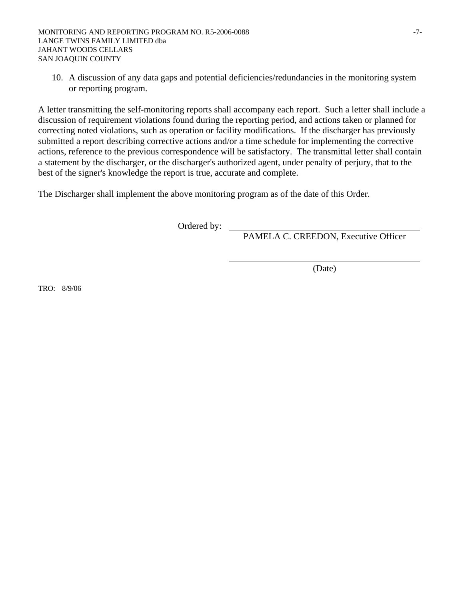10. A discussion of any data gaps and potential deficiencies/redundancies in the monitoring system or reporting program.

A letter transmitting the self-monitoring reports shall accompany each report. Such a letter shall include a discussion of requirement violations found during the reporting period, and actions taken or planned for correcting noted violations, such as operation or facility modifications. If the discharger has previously submitted a report describing corrective actions and/or a time schedule for implementing the corrective actions, reference to the previous correspondence will be satisfactory. The transmittal letter shall contain a statement by the discharger, or the discharger's authorized agent, under penalty of perjury, that to the best of the signer's knowledge the report is true, accurate and complete.

The Discharger shall implement the above monitoring program as of the date of this Order.

Ordered by: \_

PAMELA C. CREEDON, Executive Officer

(Date)

TRO: 8/9/06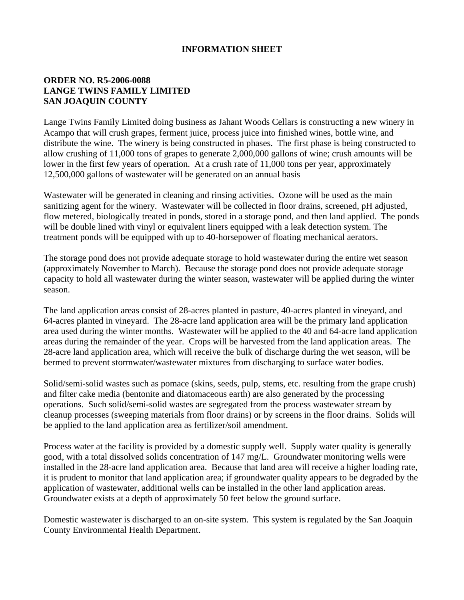# **INFORMATION SHEET**

# **ORDER NO. R5-2006-0088 LANGE TWINS FAMILY LIMITED SAN JOAQUIN COUNTY**

Lange Twins Family Limited doing business as Jahant Woods Cellars is constructing a new winery in Acampo that will crush grapes, ferment juice, process juice into finished wines, bottle wine, and distribute the wine. The winery is being constructed in phases. The first phase is being constructed to allow crushing of 11,000 tons of grapes to generate 2,000,000 gallons of wine; crush amounts will be lower in the first few years of operation. At a crush rate of 11,000 tons per year, approximately 12,500,000 gallons of wastewater will be generated on an annual basis

Wastewater will be generated in cleaning and rinsing activities. Ozone will be used as the main sanitizing agent for the winery. Wastewater will be collected in floor drains, screened, pH adjusted, flow metered, biologically treated in ponds, stored in a storage pond, and then land applied. The ponds will be double lined with vinyl or equivalent liners equipped with a leak detection system. The treatment ponds will be equipped with up to 40-horsepower of floating mechanical aerators.

The storage pond does not provide adequate storage to hold wastewater during the entire wet season (approximately November to March). Because the storage pond does not provide adequate storage capacity to hold all wastewater during the winter season, wastewater will be applied during the winter season.

The land application areas consist of 28-acres planted in pasture, 40-acres planted in vineyard, and 64-acres planted in vineyard. The 28-acre land application area will be the primary land application area used during the winter months. Wastewater will be applied to the 40 and 64-acre land application areas during the remainder of the year. Crops will be harvested from the land application areas. The 28-acre land application area, which will receive the bulk of discharge during the wet season, will be bermed to prevent stormwater/wastewater mixtures from discharging to surface water bodies.

Solid/semi-solid wastes such as pomace (skins, seeds, pulp, stems, etc. resulting from the grape crush) and filter cake media (bentonite and diatomaceous earth) are also generated by the processing operations. Such solid/semi-solid wastes are segregated from the process wastewater stream by cleanup processes (sweeping materials from floor drains) or by screens in the floor drains. Solids will be applied to the land application area as fertilizer/soil amendment.

Process water at the facility is provided by a domestic supply well. Supply water quality is generally good, with a total dissolved solids concentration of 147 mg/L. Groundwater monitoring wells were installed in the 28-acre land application area. Because that land area will receive a higher loading rate, it is prudent to monitor that land application area; if groundwater quality appears to be degraded by the application of wastewater, additional wells can be installed in the other land application areas. Groundwater exists at a depth of approximately 50 feet below the ground surface.

Domestic wastewater is discharged to an on-site system. This system is regulated by the San Joaquin County Environmental Health Department.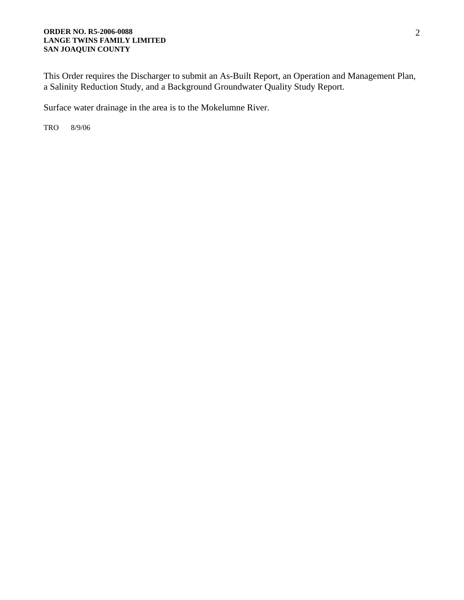#### **ORDER NO. R5-2006-0088 LANGE TWINS FAMILY LIMITED SAN JOAQUIN COUNTY**

This Order requires the Discharger to submit an As-Built Report, an Operation and Management Plan, a Salinity Reduction Study, and a Background Groundwater Quality Study Report.

Surface water drainage in the area is to the Mokelumne River.

TRO 8/9/06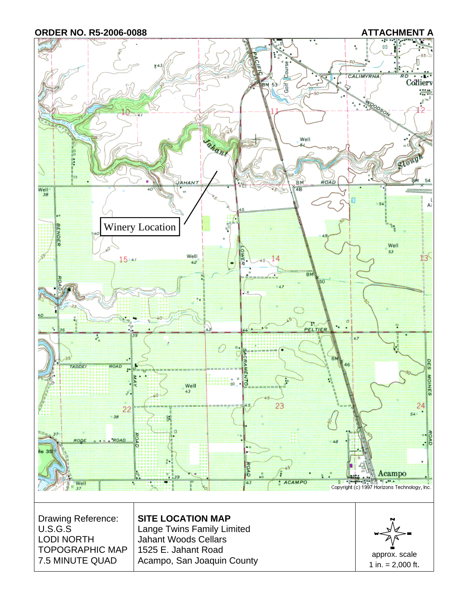## **ORDER NO. R5-2006-0088 ATTACHMENT A**

7.5 MINUTE QUAD



1 in.  $= 2,000$  ft.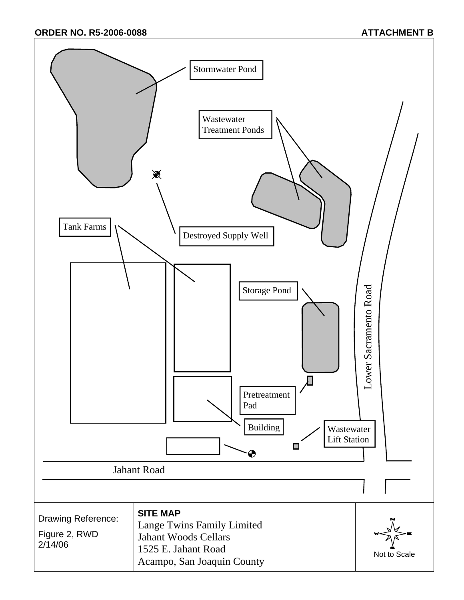**ORDER NO. R5-2006-0088 ATTACHMENT B**